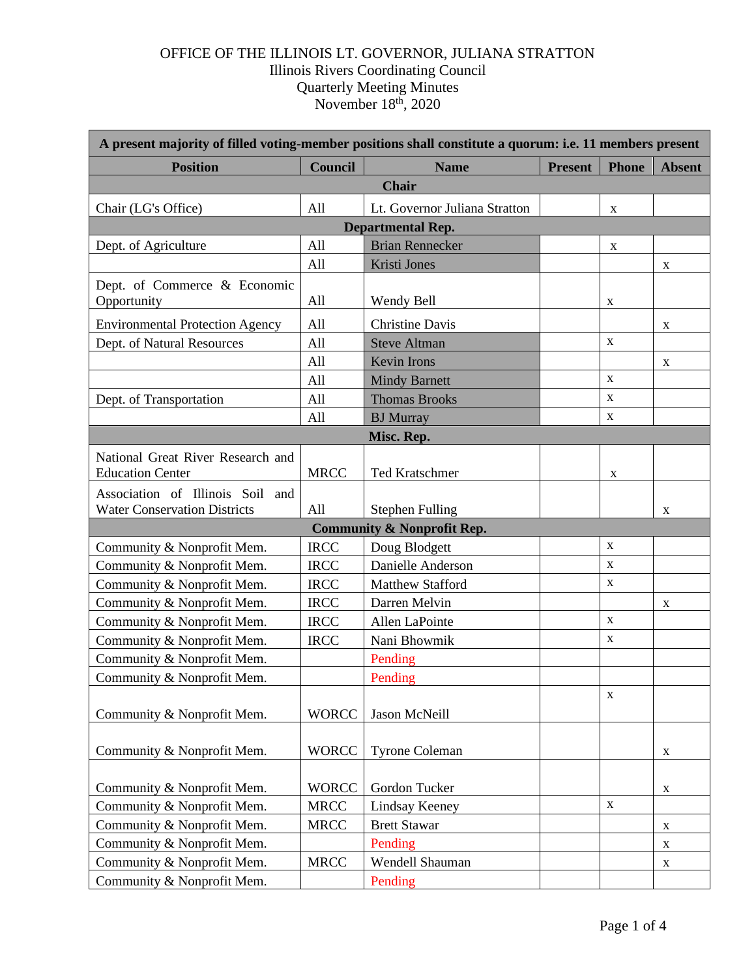## OFFICE OF THE ILLINOIS LT. GOVERNOR, JULIANA STRATTON Illinois Rivers Coordinating Council Quarterly Meeting Minutes November 18<sup>th</sup>, 2020

| A present majority of filled voting-member positions shall constitute a quorum: i.e. 11 members present |              |                               |                |              |               |  |  |  |
|---------------------------------------------------------------------------------------------------------|--------------|-------------------------------|----------------|--------------|---------------|--|--|--|
| <b>Position</b>                                                                                         | Council      | <b>Name</b>                   | <b>Present</b> | <b>Phone</b> | <b>Absent</b> |  |  |  |
| <b>Chair</b>                                                                                            |              |                               |                |              |               |  |  |  |
| Chair (LG's Office)                                                                                     | All          | Lt. Governor Juliana Stratton |                | X            |               |  |  |  |
| <b>Departmental Rep.</b>                                                                                |              |                               |                |              |               |  |  |  |
| Dept. of Agriculture                                                                                    | All          | <b>Brian Rennecker</b>        |                | X            |               |  |  |  |
|                                                                                                         | All          | <b>Kristi Jones</b>           |                |              | X             |  |  |  |
| Dept. of Commerce & Economic                                                                            |              |                               |                |              |               |  |  |  |
| Opportunity                                                                                             | All          | Wendy Bell                    |                | X            |               |  |  |  |
| <b>Environmental Protection Agency</b>                                                                  | All          | <b>Christine Davis</b>        |                |              | $\mathbf X$   |  |  |  |
| Dept. of Natural Resources                                                                              | All          | <b>Steve Altman</b>           |                | $\mathbf X$  |               |  |  |  |
|                                                                                                         | All          | <b>Kevin Irons</b>            |                |              | X             |  |  |  |
|                                                                                                         | All          | <b>Mindy Barnett</b>          |                | $\mathbf X$  |               |  |  |  |
| Dept. of Transportation                                                                                 | All          | <b>Thomas Brooks</b>          |                | $\mathbf X$  |               |  |  |  |
|                                                                                                         | All          | <b>BJ</b> Murray              |                | $\mathbf X$  |               |  |  |  |
| Misc. Rep.                                                                                              |              |                               |                |              |               |  |  |  |
| National Great River Research and<br><b>Education Center</b>                                            | <b>MRCC</b>  | <b>Ted Kratschmer</b>         |                | X            |               |  |  |  |
| Association of Illinois Soil and<br><b>Water Conservation Districts</b>                                 | All          | <b>Stephen Fulling</b>        |                |              | X             |  |  |  |
| <b>Community &amp; Nonprofit Rep.</b>                                                                   |              |                               |                |              |               |  |  |  |
| Community & Nonprofit Mem.                                                                              | <b>IRCC</b>  | Doug Blodgett                 |                | $\mathbf X$  |               |  |  |  |
| Community & Nonprofit Mem.                                                                              | <b>IRCC</b>  | Danielle Anderson             |                | $\mathbf X$  |               |  |  |  |
| Community & Nonprofit Mem.                                                                              | <b>IRCC</b>  | <b>Matthew Stafford</b>       |                | $\mathbf X$  |               |  |  |  |
| Community & Nonprofit Mem.                                                                              | <b>IRCC</b>  | Darren Melvin                 |                |              | X             |  |  |  |
| Community & Nonprofit Mem.                                                                              | <b>IRCC</b>  | Allen LaPointe                |                | $\mathbf X$  |               |  |  |  |
| Community & Nonprofit Mem.                                                                              | <b>IRCC</b>  | Nani Bhowmik                  |                | $\mathbf X$  |               |  |  |  |
| Community & Nonprofit Mem.                                                                              |              | Pending                       |                |              |               |  |  |  |
| Community & Nonprofit Mem.                                                                              |              | Pending                       |                |              |               |  |  |  |
| Community & Nonprofit Mem.                                                                              | <b>WORCC</b> | Jason McNeill                 |                | $\mathbf X$  |               |  |  |  |
| Community & Nonprofit Mem.                                                                              | <b>WORCC</b> | <b>Tyrone Coleman</b>         |                |              | X             |  |  |  |
| Community & Nonprofit Mem.                                                                              | <b>WORCC</b> | Gordon Tucker                 |                |              | $\mathbf X$   |  |  |  |
| Community & Nonprofit Mem.                                                                              | <b>MRCC</b>  | <b>Lindsay Keeney</b>         |                | $\mathbf X$  |               |  |  |  |
| Community & Nonprofit Mem.                                                                              | <b>MRCC</b>  | <b>Brett Stawar</b>           |                |              | X             |  |  |  |
| Community & Nonprofit Mem.                                                                              |              | Pending                       |                |              | $\mathbf X$   |  |  |  |
| Community & Nonprofit Mem.                                                                              | <b>MRCC</b>  | Wendell Shauman               |                |              | X             |  |  |  |
| Community & Nonprofit Mem.                                                                              |              | Pending                       |                |              |               |  |  |  |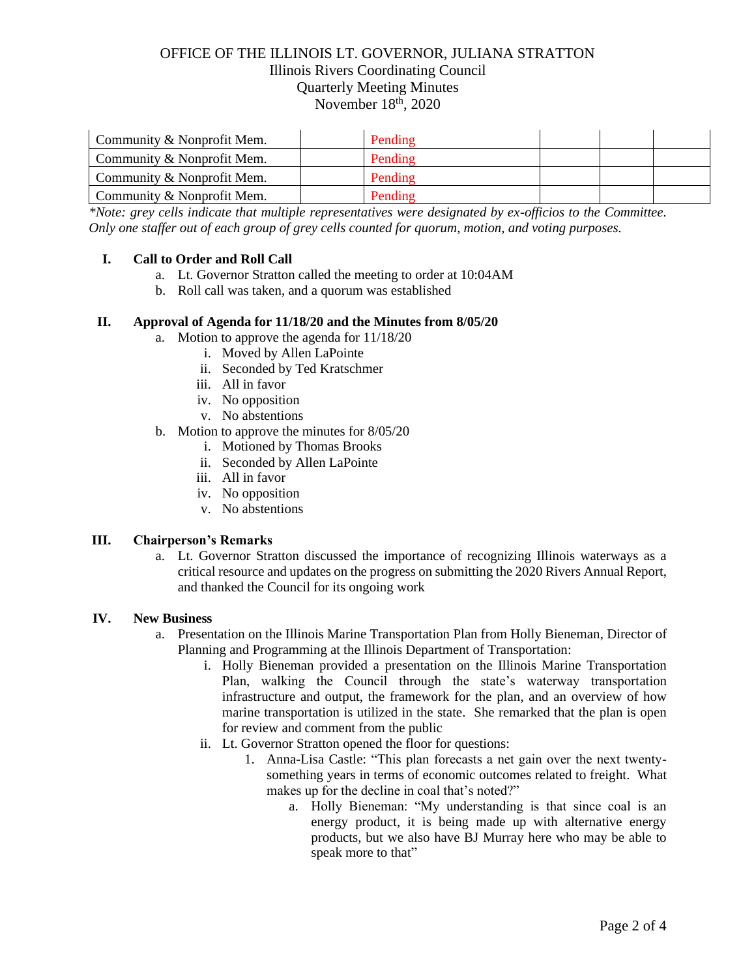## OFFICE OF THE ILLINOIS LT. GOVERNOR, JULIANA STRATTON Illinois Rivers Coordinating Council Quarterly Meeting Minutes November 18<sup>th</sup>, 2020

| Community & Nonprofit Mem. | Pending |  |  |
|----------------------------|---------|--|--|
| Community & Nonprofit Mem. | Pending |  |  |
| Community & Nonprofit Mem. | Pending |  |  |
| Community & Nonprofit Mem. | Pending |  |  |

*\*Note: grey cells indicate that multiple representatives were designated by ex-officios to the Committee. Only one staffer out of each group of grey cells counted for quorum, motion, and voting purposes.*

### **I. Call to Order and Roll Call**

- a. Lt. Governor Stratton called the meeting to order at 10:04AM
- b. Roll call was taken, and a quorum was established

### **II. Approval of Agenda for 11/18/20 and the Minutes from 8/05/20**

- a. Motion to approve the agenda for 11/18/20
	- i. Moved by Allen LaPointe
	- ii. Seconded by Ted Kratschmer
	- iii. All in favor
	- iv. No opposition
	- v. No abstentions
- b. Motion to approve the minutes for 8/05/20
	- i. Motioned by Thomas Brooks
	- ii. Seconded by Allen LaPointe
	- iii. All in favor
	- iv. No opposition
	- v. No abstentions

### **III. Chairperson's Remarks**

a. Lt. Governor Stratton discussed the importance of recognizing Illinois waterways as a critical resource and updates on the progress on submitting the 2020 Rivers Annual Report, and thanked the Council for its ongoing work

### **IV. New Business**

- a. Presentation on the Illinois Marine Transportation Plan from Holly Bieneman, Director of Planning and Programming at the Illinois Department of Transportation:
	- i. Holly Bieneman provided a presentation on the Illinois Marine Transportation Plan, walking the Council through the state's waterway transportation infrastructure and output, the framework for the plan, and an overview of how marine transportation is utilized in the state. She remarked that the plan is open for review and comment from the public
	- ii. Lt. Governor Stratton opened the floor for questions:
		- 1. Anna-Lisa Castle: "This plan forecasts a net gain over the next twentysomething years in terms of economic outcomes related to freight. What makes up for the decline in coal that's noted?"
			- a. Holly Bieneman: "My understanding is that since coal is an energy product, it is being made up with alternative energy products, but we also have BJ Murray here who may be able to speak more to that"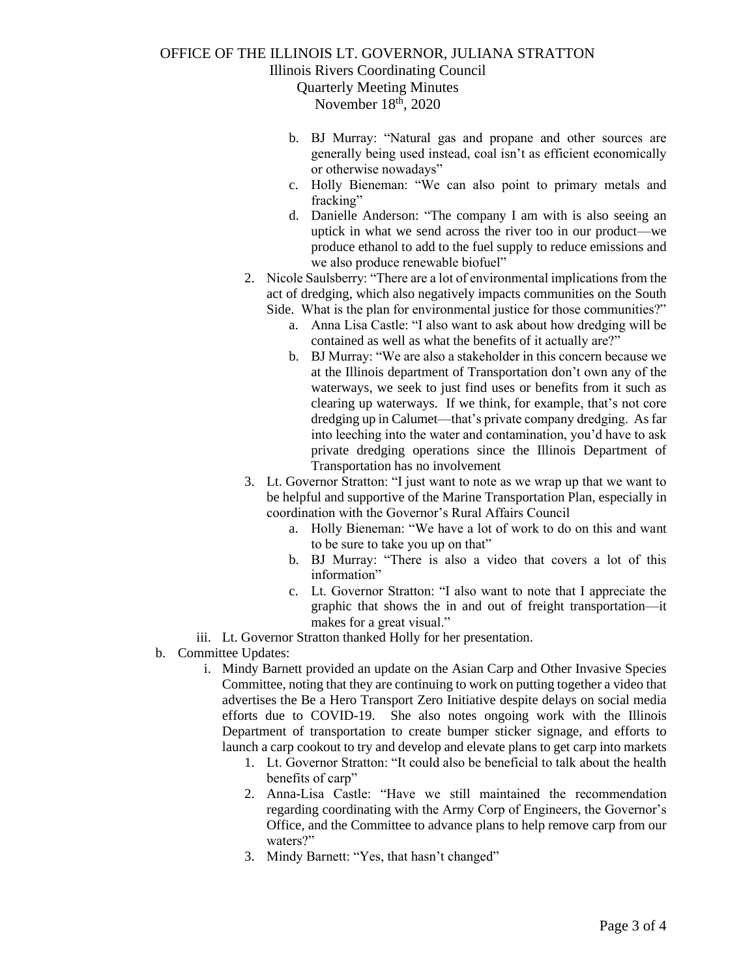# OFFICE OF THE ILLINOIS LT. GOVERNOR, JULIANA STRATTON

Illinois Rivers Coordinating Council

Quarterly Meeting Minutes November 18<sup>th</sup>, 2020

- b. BJ Murray: "Natural gas and propane and other sources are generally being used instead, coal isn't as efficient economically or otherwise nowadays"
- c. Holly Bieneman: "We can also point to primary metals and fracking"
- d. Danielle Anderson: "The company I am with is also seeing an uptick in what we send across the river too in our product—we produce ethanol to add to the fuel supply to reduce emissions and we also produce renewable biofuel"
- 2. Nicole Saulsberry: "There are a lot of environmental implications from the act of dredging, which also negatively impacts communities on the South Side. What is the plan for environmental justice for those communities?"
	- a. Anna Lisa Castle: "I also want to ask about how dredging will be contained as well as what the benefits of it actually are?"
	- b. BJ Murray: "We are also a stakeholder in this concern because we at the Illinois department of Transportation don't own any of the waterways, we seek to just find uses or benefits from it such as clearing up waterways. If we think, for example, that's not core dredging up in Calumet—that's private company dredging. As far into leeching into the water and contamination, you'd have to ask private dredging operations since the Illinois Department of Transportation has no involvement
- 3. Lt. Governor Stratton: "I just want to note as we wrap up that we want to be helpful and supportive of the Marine Transportation Plan, especially in coordination with the Governor's Rural Affairs Council
	- a. Holly Bieneman: "We have a lot of work to do on this and want to be sure to take you up on that"
	- b. BJ Murray: "There is also a video that covers a lot of this information"
	- c. Lt. Governor Stratton: "I also want to note that I appreciate the graphic that shows the in and out of freight transportation—it makes for a great visual."
- iii. Lt. Governor Stratton thanked Holly for her presentation.
- b. Committee Updates:
	- i. Mindy Barnett provided an update on the Asian Carp and Other Invasive Species Committee, noting that they are continuing to work on putting together a video that advertises the Be a Hero Transport Zero Initiative despite delays on social media efforts due to COVID-19. She also notes ongoing work with the Illinois Department of transportation to create bumper sticker signage, and efforts to launch a carp cookout to try and develop and elevate plans to get carp into markets
		- 1. Lt. Governor Stratton: "It could also be beneficial to talk about the health benefits of carp"
		- 2. Anna-Lisa Castle: "Have we still maintained the recommendation regarding coordinating with the Army Corp of Engineers, the Governor's Office, and the Committee to advance plans to help remove carp from our waters?"
		- 3. Mindy Barnett: "Yes, that hasn't changed"